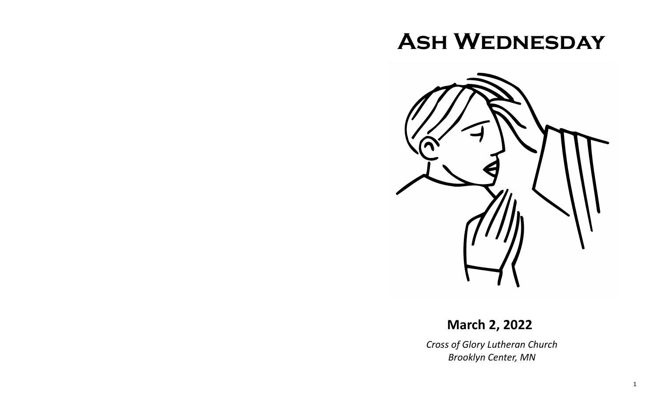# **Ash Wednesday**



# **March 2, 2022**

*Cross of Glory Lutheran Church Brooklyn Center, MN*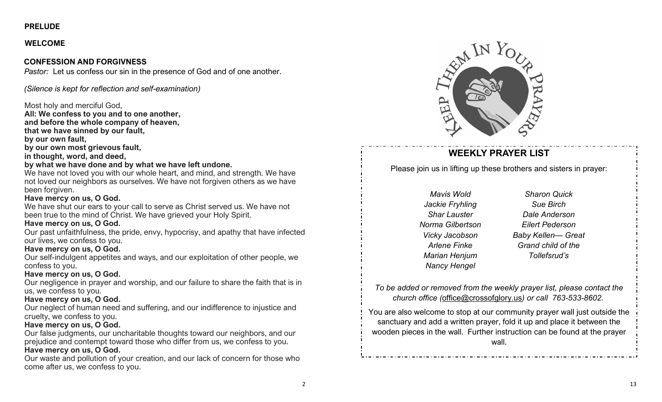# **PRELUDE**

# **WELCOME**

# **CONFESSION AND FORGIVNESS**

*Pastor:* Let us confess our sin in the presence of God and of one another.

*(Silence is kept for reflection and self-examination)*

# Most holy and merciful God,

**All: We confess to you and to one another, and before the whole company of heaven, that we have sinned by our fault, by our own fault, by our own most grievous fault,**

### **in thought, word, and deed,**

### **by what we have done and by what we have left undone.**

We have not loved you with our whole heart, and mind, and strength. We have not loved our neighbors as ourselves. We have not forgiven others as we have been forgiven.

# **Have mercy on us, O God.**

We have shut our ears to your call to serve as Christ served us. We have not been true to the mind of Christ. We have grieved your Holy Spirit.

# **Have mercy on us, O God.**

Our past unfaithfulness, the pride, envy, hypocrisy, and apathy that have infected our lives, we confess to you.

# **Have mercy on us, O God.**

Our self-indulgent appetites and ways, and our exploitation of other people, we confess to you.

# **Have mercy on us, O God.**

Our negligence in prayer and worship, and our failure to share the faith that is in us, we confess to you.

# **Have mercy on us, O God.**

Our neglect of human need and suffering, and our indifference to injustice and cruelty, we confess to you.

# **Have mercy on us, O God.**

Our false judgments, our uncharitable thoughts toward our neighbors, and our prejudice and contempt toward those who differ from us, we confess to you. **Have mercy on us, O God.**

Our waste and pollution of your creation, and our lack of concern for those who come after us, we confess to you.



# **WEEKLY PRAYER LIST**

Please join us in lifting up these brothers and sisters in prayer:

*Mavis Wold Jackie Fryhling Shar Lauster Norma Gilbertson Vicky Jacobson Arlene Finke Marian Henjum Nancy Hengel*

*Sharon Quick Sue Birch Dale Anderson Eilert Pederson Baby Kellen— Great Grand child of the Tollefsrud's*

*To be added or removed from the weekly prayer list, please contact the church office (*[office@crossofglory.us](mailto:office@crossofglory.us)*) or call 763-533-8602.*

You are also welcome to stop at our community prayer wall just outside the sanctuary and add a written prayer, fold it up and place it between the wooden pieces in the wall. Further instruction can be found at the prayer wall.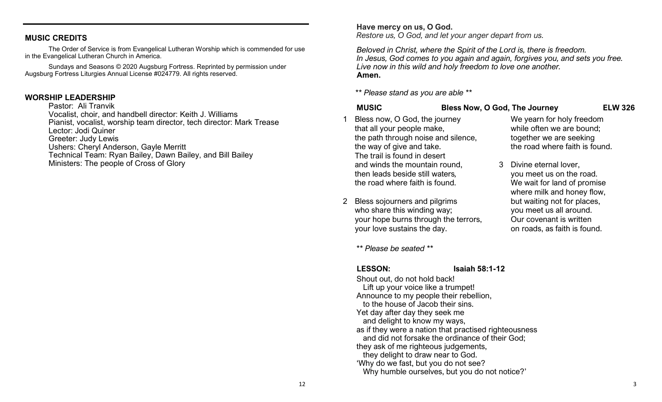#### **MUSIC CREDITS**

The Order of Service is from Evangelical Lutheran Worship which is commended for use in the Evangelical Lutheran Church in America.

Sundays and Seasons © 2020 Augsburg Fortress. Reprinted by permission under Augsburg Fortress Liturgies Annual License #024779. All rights reserved.

#### **WORSHIP LEADERSHIP**

Pastor: Ali Tranvik Vocalist, choir, and handbell director: Keith J. Williams Pianist, vocalist, worship team director, tech director: Mark Trease Lector: Jodi Quiner Greeter: Judy Lewis Ushers: Cheryl Anderson, Gayle Merritt Technical Team: Ryan Bailey, Dawn Bailey, and Bill Bailey Ministers: The people of Cross of Glory

#### **Have mercy on us, O God.**

*Restore us, O God, and let your anger depart from us.*

*Beloved in Christ, where the Spirit of the Lord is, there is freedom. In Jesus, God comes to you again and again, forgives you, and sets you free. Live now in this wild and holy freedom to love one another.* **Amen.**

*\*\* Please stand as you are able \*\**

#### **MUSIC Bless Now, O God, The Journey ELW 326**

We yearn for holy freedom while often we are bound; together we are seeking the road where faith is found.

you meet us on the road. We wait for land of promise where milk and honey flow, but waiting not for places, you meet us all around. Our covenant is written on roads, as faith is found.

3 Divine eternal lover,

- Bless now, O God, the journey that all your people make, the path through noise and silence, the way of give and take. The trail is found in desert and winds the mountain round, then leads beside still waters*,* the road where faith is found.
- 2 Bless sojourners and pilgrims who share this winding way; your hope burns through the terrors, your love sustains the day.

*\*\* Please be seated \*\**

**LESSON: Isaiah 58:1-12**

3

Shout out, do not hold back! Lift up your voice like a trumpet! Announce to my people their rebellion, to the house of Jacob their sins. Yet day after day they seek me and delight to know my ways, as if they were a nation that practised righteousness and did not forsake the ordinance of their God; they ask of me righteous judgements, they delight to draw near to God. 'Why do we fast, but you do not see? Why humble ourselves, but you do not notice?'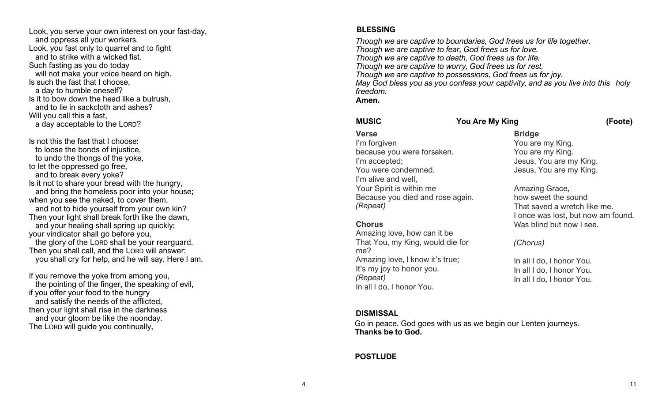Look, you serve your own interest on your fast -day, and oppress all your workers. Look, you fast only to quarrel and to fight and to strike with a wicked fist. Such fasting as you do today will not make your voice heard on high. Is such the fast that I choose, a day to humble oneself? Is it to bow down the head like a bulrush, and to lie in sackcloth and ashes? Will you call this a fast, a day acceptable to the LORD ?

Is not this the fast that I choose: to loose the bonds of injustice, to undo the thongs of the yoke, to let the oppressed go free, and to break every yoke? Is it not to share your bread with the hungry, and bring the homeless poor into your house; when you see the naked, to cover them. and not to hide yourself from your own kin? Then your light shall break forth like the dawn, and your healing shall spring up quickly; your vindicator shall go before you, the glory of the LORD shall be your rearguard. Then you shall call, and the LORD will answer; you shall cry for help, and he will say, Here I am.

If you remove the yoke from among you, the pointing of the finger, the speaking of evil, if you offer your food to the hungry and satisfy the needs of the afflicted, then your light shall rise in the darkness and your gloom be like the noonday. The LORD will guide you continually,

#### **BLESSING**

*Though we are captive to boundaries, God frees us for life together. Though we are captive to fear, God frees us for love. Though we are captive to death, God frees us for life. Though we are captive to worry, God frees us for rest. Though we are captive to possessions, God frees us for joy. May God bless you as you confess your captivity, and as you live into this holy freedom.* **Amen.**

**MUSIC You Are My King (Foote)**

### **Verse**

I'm forgiven because you were forsaken. I'm accepted; You were condemned. I'm alive and well, Your Spirit is within me Because you died and rose again. *(Repeat)*

### **Chorus**

Amazing love, how can it be That You, my King, would die for me? Amazing love, I know it 's true; It 's my joy to honor you. *(Repeat)* In all I do, I honor You.

# **Bridge**

You are my King. You are my King. Jesus, You are my King. Jesus, You are my King.

Amazing Grace, how sweet the sound That saved a wretch like me. I once was lost, but now am found. Was blind but now I see.

### *(Chorus)*

In all I do, I honor You. In all I do, I honor You. In all I do, I honor You.

### **DISMISSAL**

Go in peace. God goes with us as we begin our Lenten journeys. **Thanks be to God.**

### **POSTLUDE**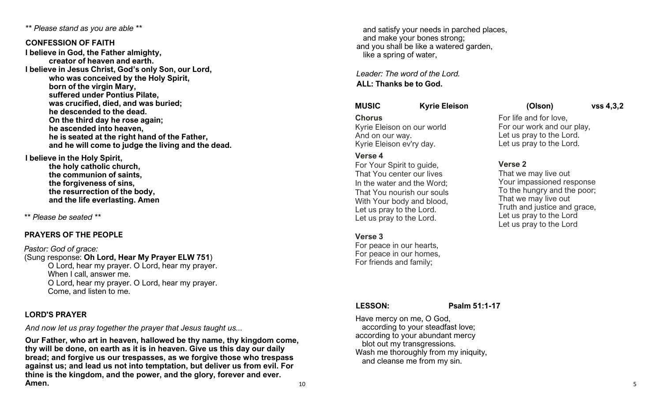*\*\* Please stand as you are able \*\**

#### **CONFESSION OF FAITH**

**I believe in God, the Father almighty, creator of heaven and earth. I believe in Jesus Christ, God's only Son, our Lord, who was conceived by the Holy Spirit, born of the virgin Mary, suffered under Pontius Pilate, was crucified, died, and was buried; he descended to the dead. On the third day he rose again; he ascended into heaven, he is seated at the right hand of the Father, and he will come to judge the living and the dead.**

**I believe in the Holy Spirit,** 

**the holy catholic church, the communion of saints, the forgiveness of sins, the resurrection of the body, and the life everlasting. Amen**

*\*\* Please be seated \*\**

# **PRAYERS OF THE PEOPLE**

#### *Pastor: God of grace:* (Sung response: **Oh Lord, Hear My Prayer ELW 751**) O Lord, hear my prayer. O Lord, hear my prayer. When I call, answer me. O Lord, hear my prayer. O Lord, hear my prayer. Come, and listen to me.

### **LORD'S PRAYER**

*And now let us pray together the prayer that Jesus taught us...* 

**Our Father, who art in heaven, hallowed be thy name, thy kingdom come, thy will be done, on earth as it is in heaven. Give us this day our daily bread; and forgive us our trespasses, as we forgive those who trespass against us; and lead us not into temptation, but deliver us from evil. For thine is the kingdom, and the power, and the glory, forever and ever. Amen.**

 and satisfy your needs in parched places, and make your bones strong; and you shall be like a watered garden, like a spring of water,

*Leader: The word of the Lord.* **ALL: Thanks be to God.**

### **MUSIC Kyrie Eleison (Olson) vss 4,3,2**

#### **Chorus**

Kyrie Eleison on our world And on our way. Kyrie Eleison ev'ry day.

#### **Verse 4**

For Your Spirit to guide, That You center our lives In the water and the Word; That You nourish our souls With Your body and blood, Let us pray to the Lord. Let us pray to the Lord.

### **Verse 3**

For peace in our hearts, For peace in our homes, For friends and family;

**LESSON: Psalm 51:1-17**

Have mercy on me, O God, according to your steadfast love; according to your abundant mercy blot out my transgressions. Wash me thoroughly from my iniquity, and cleanse me from my sin.

# For life and for love,

For our work and our play, Let us pray to the Lord. Let us pray to the Lord.

# **Verse 2**

That we may live out Your impassioned response To the hungry and the poor; That we may live out Truth and justice and grace, Let us pray to the Lord Let us pray to the Lord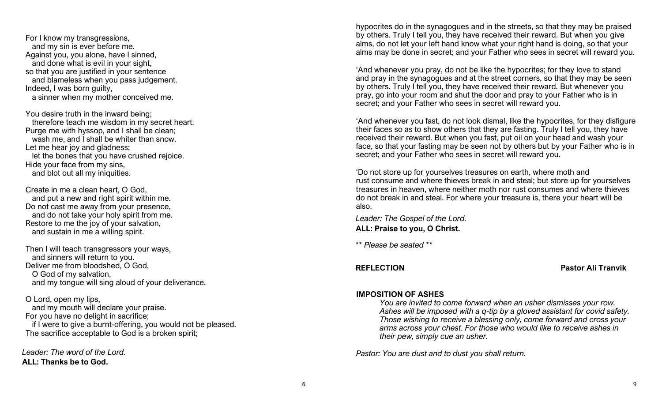For I know my transgressions, and my sin is ever before me. Against you, you alone, have I sinned, and done what is evil in your sight, so that you are justified in your sentence and blameless when you pass judgement. Indeed, I was born guilty, a sinner when my mother conceived me.

You desire truth in the inward being; therefore teach me wisdom in my secret heart. Purge me with hyssop, and I shall be clean; wash me, and I shall be whiter than snow. Let me hear joy and gladness; let the bones that you have crushed rejoice. Hide your face from my sins, and blot out all my iniquities.

Create in me a clean heart, O God, and put a new and right spirit within me. Do not cast me away from your presence, and do not take your holy spirit from me. Restore to me the joy of your salvation, and sustain in me a willing spirit.

Then I will teach transgressors your ways, and sinners will return to you. Deliver me from bloodshed, O God, O God of my salvation, and my tongue will sing aloud of your deliverance.

O Lord, open my lips, and my mouth will declare your praise. For you have no delight in sacrifice; if I were to give a burnt-offering, you would not be pleased. The sacrifice acceptable to God is a broken spirit;

*Leader: The word of the Lord.* **ALL: Thanks be to God.**

hypocrites do in the synagogues and in the streets, so that they may be praised by others. Truly I tell you, they have received their reward. But when you give alms, do not let your left hand know what your right hand is doing, so that your alms may be done in secret; and your Father who sees in secret will reward you.

'And whenever you pray, do not be like the hypocrites; for they love to stand and pray in the synagogues and at the street corners, so that they may be seen by others. Truly I tell you, they have received their reward. But whenever you pray, go into your room and shut the door and pray to your Father who is in secret; and your Father who sees in secret will reward you.

'And whenever you fast, do not look dismal, like the hypocrites, for they disfigure their faces so as to show others that they are fasting. Truly I tell you, they have received their reward. But when you fast, put oil on your head and wash your face, so that your fasting may be seen not by others but by your Father who is in secret; and your Father who sees in secret will reward you.

'Do not store up for yourselves treasures on earth, where moth and rust consume and where thieves break in and steal; but store up for yourselves treasures in heaven, where neither moth nor rust consumes and where thieves do not break in and steal. For where your treasure is, there your heart will be also.

*Leader: The Gospel of the Lord.* **ALL: Praise to you, O Christ.**

*\*\* Please be seated \*\**

**REFLECTION Pastor Ali Tranvik**

#### **IMPOSITION OF ASHES**

*You are invited to come forward when an usher dismisses your row. Ashes will be imposed with a q-tip by a gloved assistant for covid safety. Those wishing to receive a blessing only, come forward and cross your arms across your chest. For those who would like to receive ashes in their pew, simply cue an usher.*

*Pastor: You are dust and to dust you shall return.*